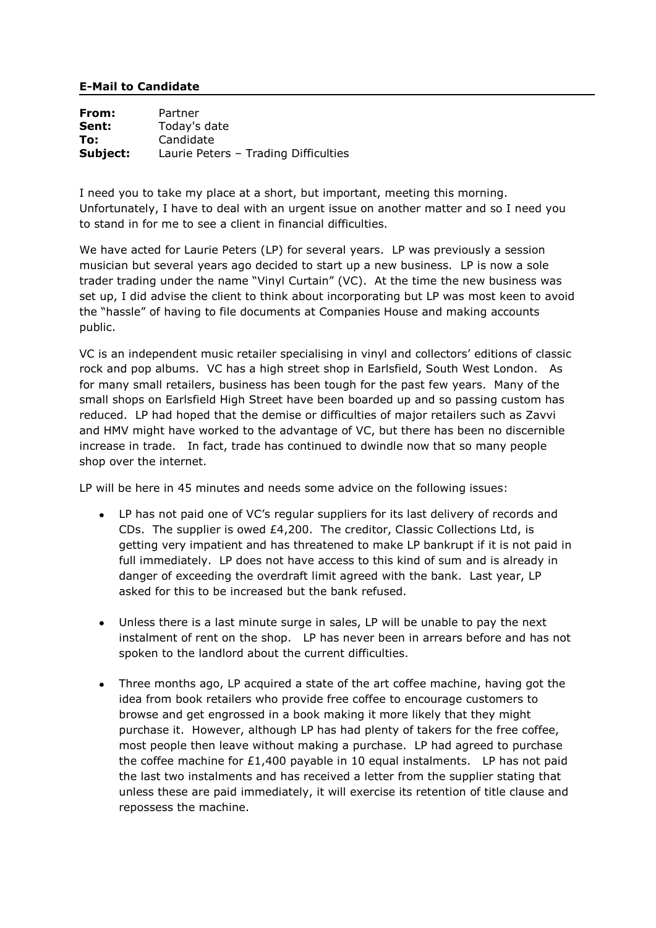## **E-Mail to Candidate**

**From:** Partner **Sent:** Today's date **To:** Candidate **Subject:** Laurie Peters – Trading Difficulties

I need you to take my place at a short, but important, meeting this morning. Unfortunately, I have to deal with an urgent issue on another matter and so I need you to stand in for me to see a client in financial difficulties.

We have acted for Laurie Peters (LP) for several years. LP was previously a session musician but several years ago decided to start up a new business. LP is now a sole trader trading under the name "Vinyl Curtain" (VC). At the time the new business was set up, I did advise the client to think about incorporating but LP was most keen to avoid the "hassle" of having to file documents at Companies House and making accounts public.

VC is an independent music retailer specialising in vinyl and collectors' editions of classic rock and pop albums. VC has a high street shop in Earlsfield, South West London. As for many small retailers, business has been tough for the past few years. Many of the small shops on Earlsfield High Street have been boarded up and so passing custom has reduced. LP had hoped that the demise or difficulties of major retailers such as Zavvi and HMV might have worked to the advantage of VC, but there has been no discernible increase in trade. In fact, trade has continued to dwindle now that so many people shop over the internet.

LP will be here in 45 minutes and needs some advice on the following issues:

- LP has not paid one of VC's regular suppliers for its last delivery of records and CDs. The supplier is owed £4,200. The creditor, Classic Collections Ltd, is getting very impatient and has threatened to make LP bankrupt if it is not paid in full immediately. LP does not have access to this kind of sum and is already in danger of exceeding the overdraft limit agreed with the bank. Last year, LP asked for this to be increased but the bank refused.
- Unless there is a last minute surge in sales, LP will be unable to pay the next  $\bullet$ instalment of rent on the shop. LP has never been in arrears before and has not spoken to the landlord about the current difficulties.
- Three months ago, LP acquired a state of the art coffee machine, having got the idea from book retailers who provide free coffee to encourage customers to browse and get engrossed in a book making it more likely that they might purchase it. However, although LP has had plenty of takers for the free coffee, most people then leave without making a purchase. LP had agreed to purchase the coffee machine for £1,400 payable in 10 equal instalments. LP has not paid the last two instalments and has received a letter from the supplier stating that unless these are paid immediately, it will exercise its retention of title clause and repossess the machine.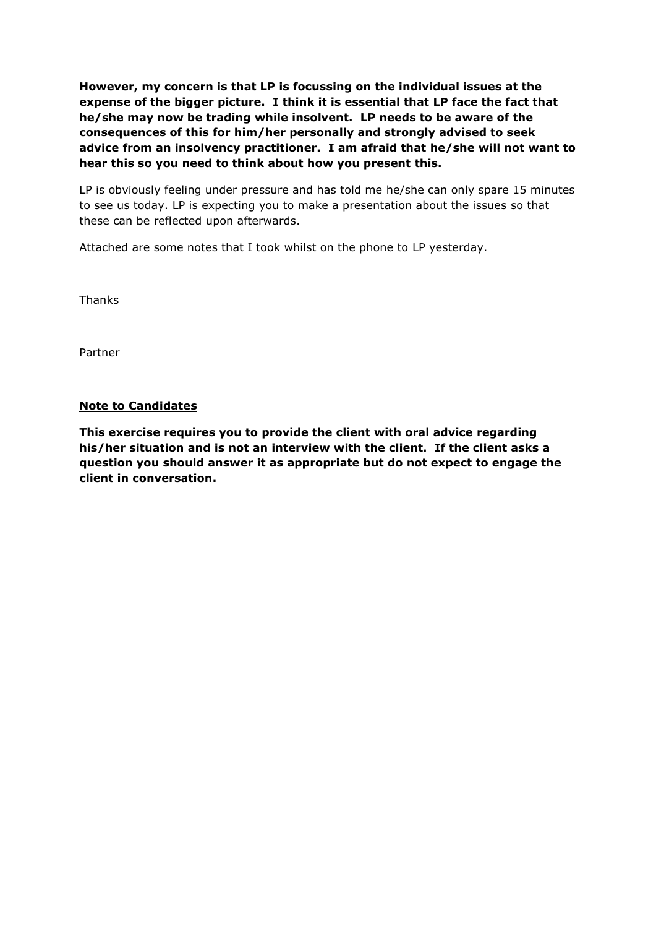**However, my concern is that LP is focussing on the individual issues at the expense of the bigger picture. I think it is essential that LP face the fact that he/she may now be trading while insolvent. LP needs to be aware of the consequences of this for him/her personally and strongly advised to seek advice from an insolvency practitioner. I am afraid that he/she will not want to hear this so you need to think about how you present this.** 

LP is obviously feeling under pressure and has told me he/she can only spare 15 minutes to see us today. LP is expecting you to make a presentation about the issues so that these can be reflected upon afterwards.

Attached are some notes that I took whilst on the phone to LP yesterday.

Thanks

Partner

## **Note to Candidates**

**This exercise requires you to provide the client with oral advice regarding his/her situation and is not an interview with the client. If the client asks a question you should answer it as appropriate but do not expect to engage the client in conversation.**